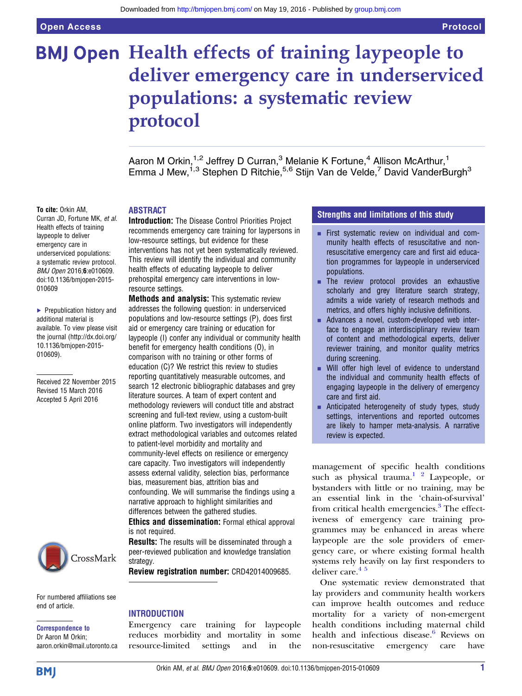# **BMJ Open Health effects of training laypeople to** deliver emergency care in underserviced populations: a systematic review protocol

Aaron M Orkin,<sup>1,2</sup> Jeffrey D Curran,<sup>3</sup> Melanie K Fortune,<sup>4</sup> Allison McArthur,<sup>1</sup> Emma J Mew,<sup>1,3</sup> Stephen D Ritchie,<sup>5,6</sup> Stijn Van de Velde,<sup>7</sup> David VanderBurgh<sup>3</sup>

#### To cite: Orkin AM,

Curran JD, Fortune MK, et al. Health effects of training laypeople to deliver emergency care in underserviced populations: a systematic review protocol. BMJ Open 2016;6:e010609. doi:10.1136/bmjopen-2015- 010609

▶ Prepublication history and additional material is available. To view please visit the journal [\(http://dx.doi.org/](http://dx.doi.org/10.1136/bmjopen-2015-010609) [10.1136/bmjopen-2015-](http://dx.doi.org/10.1136/bmjopen-2015-010609) [010609\)](http://dx.doi.org/10.1136/bmjopen-2015-010609).

Received 22 November 2015 Revised 15 March 2016 Accepted 5 April 2016



For numbered affiliations see end of article.

Correspondence to Dr Aaron M Orkin; aaron.orkin@mail.utoronto.ca

#### ABSTRACT

Introduction: The Disease Control Priorities Project recommends emergency care training for laypersons in low-resource settings, but evidence for these interventions has not yet been systematically reviewed. This review will identify the individual and community health effects of educating laypeople to deliver prehospital emergency care interventions in lowresource settings.

**Methods and analysis:** This systematic review addresses the following question: in underserviced populations and low-resource settings (P), does first aid or emergency care training or education for laypeople (I) confer any individual or community health benefit for emergency health conditions (O), in comparison with no training or other forms of education (C)? We restrict this review to studies reporting quantitatively measurable outcomes, and search 12 electronic bibliographic databases and grey literature sources. A team of expert content and methodology reviewers will conduct title and abstract screening and full-text review, using a custom-built online platform. Two investigators will independently extract methodological variables and outcomes related to patient-level morbidity and mortality and community-level effects on resilience or emergency care capacity. Two investigators will independently assess external validity, selection bias, performance bias, measurement bias, attrition bias and confounding. We will summarise the findings using a narrative approach to highlight similarities and differences between the gathered studies.

Ethics and dissemination: Formal ethical approval is not required.

**Results:** The results will be disseminated through a peer-reviewed publication and knowledge translation strategy.

Review registration number: CRD42014009685.

#### INTRODUCTION

Emergency care training for laypeople reduces morbidity and mortality in some resource-limited settings and in the

#### Strengths and limitations of this study

- **Example 1** First systematic review on individual and community health effects of resuscitative and nonresuscitative emergency care and first aid education programmes for laypeople in underserviced populations.
- $\blacksquare$  The review protocol provides an exhaustive scholarly and grey literature search strategy, admits a wide variety of research methods and metrics, and offers highly inclusive definitions.
- Advances a novel, custom-developed web interface to engage an interdisciplinary review team of content and methodological experts, deliver reviewer training, and monitor quality metrics during screening.
- Will offer high level of evidence to understand the individual and community health effects of engaging laypeople in the delivery of emergency care and first aid.
- **EXECUTE:** Anticipated heterogeneity of study types, study settings, interventions and reported outcomes are likely to hamper meta-analysis. A narrative review is expected.

management of specific health conditions such as physical trauma. $1^2$  Laypeople, or bystanders with little or no training, may be an essential link in the 'chain-of-survival' from critical health emergencies.<sup>[3](#page-6-0)</sup> The effectiveness of emergency care training programmes may be enhanced in areas where laypeople are the sole providers of emergency care, or where existing formal health systems rely heavily on lay first responders to deliver care.<sup>45</sup>

One systematic review demonstrated that lay providers and community health workers can improve health outcomes and reduce mortality for a variety of non-emergent health conditions including maternal child health and infectious disease.<sup>[6](#page-6-0)</sup> Reviews on non-resuscitative emergency care have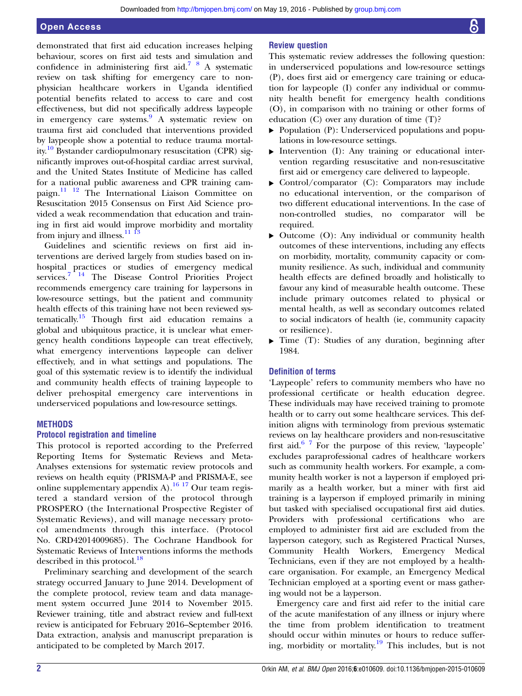demonstrated that first aid education increases helping behaviour, scores on first aid tests and simulation and confidence in administering first aid.[7 8](#page-6-0) A systematic review on task shifting for emergency care to nonphysician healthcare workers in Uganda identified potential benefits related to access to care and cost effectiveness, but did not specifically address laypeople in emergency care systems.[9](#page-6-0) A systematic review on trauma first aid concluded that interventions provided by laypeople show a potential to reduce trauma mortality.<sup>10</sup> Bystander cardiopulmonary resuscitation (CPR) significantly improves out-of-hospital cardiac arrest survival, and the United States Institute of Medicine has called for a national public awareness and CPR training campaign.<sup>11</sup> <sup>12</sup> The International Liaison Committee on Resuscitation 2015 Consensus on First Aid Science provided a weak recommendation that education and training in first aid would improve morbidity and mortality from injury and illness.<sup>11</sup> <sup>13</sup>

Guidelines and scientific reviews on first aid interventions are derived largely from studies based on inhospital practices or studies of emergency medical services.<sup>[7 14](#page-6-0)</sup> The Disease Control Priorities Project recommends emergency care training for laypersons in low-resource settings, but the patient and community health effects of this training have not been reviewed systematically.[15](#page-6-0) Though first aid education remains a global and ubiquitous practice, it is unclear what emergency health conditions laypeople can treat effectively, what emergency interventions laypeople can deliver effectively, and in what settings and populations. The goal of this systematic review is to identify the individual and community health effects of training laypeople to deliver prehospital emergency care interventions in underserviced populations and low-resource settings.

#### **METHODS**

#### Protocol registration and timeline

This protocol is reported according to the Preferred Reporting Items for Systematic Reviews and Meta-Analyses extensions for systematic review protocols and reviews on health equity (PRISMA-P and PRISMA-E, see online supplementary appendix  $A$ ).<sup>[16 17](#page-6-0)</sup> Our team registered a standard version of the protocol through PROSPERO (the International Prospective Register of Systematic Reviews), and will manage necessary protocol amendments through this interface. (Protocol No. CRD42014009685). The Cochrane Handbook for Systematic Reviews of Interventions informs the methods described in this protocol.<sup>[18](#page-6-0)</sup>

Preliminary searching and development of the search strategy occurred January to June 2014. Development of the complete protocol, review team and data management system occurred June 2014 to November 2015. Reviewer training, title and abstract review and full-text review is anticipated for February 2016–September 2016. Data extraction, analysis and manuscript preparation is anticipated to be completed by March 2017.

#### Review question

This systematic review addresses the following question: in underserviced populations and low-resource settings (P), does first aid or emergency care training or education for laypeople (I) confer any individual or community health benefit for emergency health conditions (O), in comparison with no training or other forms of education (C) over any duration of time (T)?

- ▸ Population (P): Underserviced populations and populations in low-resource settings.
- ▸ Intervention (I): Any training or educational intervention regarding resuscitative and non-resuscitative first aid or emergency care delivered to laypeople.
- ▸ Control/comparator (C): Comparators may include no educational intervention, or the comparison of two different educational interventions. In the case of non-controlled studies, no comparator will be required.
- ▸ Outcome (O): Any individual or community health outcomes of these interventions, including any effects on morbidity, mortality, community capacity or community resilience. As such, individual and community health effects are defined broadly and holistically to favour any kind of measurable health outcome. These include primary outcomes related to physical or mental health, as well as secondary outcomes related to social indicators of health (ie, community capacity or resilience).
- ▸ Time (T): Studies of any duration, beginning after 1984.

#### Definition of terms

'Laypeople' refers to community members who have no professional certificate or health education degree. These individuals may have received training to promote health or to carry out some healthcare services. This definition aligns with terminology from previous systematic reviews on lay healthcare providers and non-resuscitative first aid. $6^{6}$  7 For the purpose of this review, 'laypeople' excludes paraprofessional cadres of healthcare workers such as community health workers. For example, a community health worker is not a layperson if employed primarily as a health worker, but a miner with first aid training is a layperson if employed primarily in mining but tasked with specialised occupational first aid duties. Providers with professional certifications who are employed to administer first aid are excluded from the layperson category, such as Registered Practical Nurses, Community Health Workers, Emergency Medical Technicians, even if they are not employed by a healthcare organisation. For example, an Emergency Medical Technician employed at a sporting event or mass gathering would not be a layperson.

Emergency care and first aid refer to the initial care of the acute manifestation of any illness or injury where the time from problem identification to treatment should occur within minutes or hours to reduce suffering, morbidity or mortality.<sup>19</sup> This includes, but is not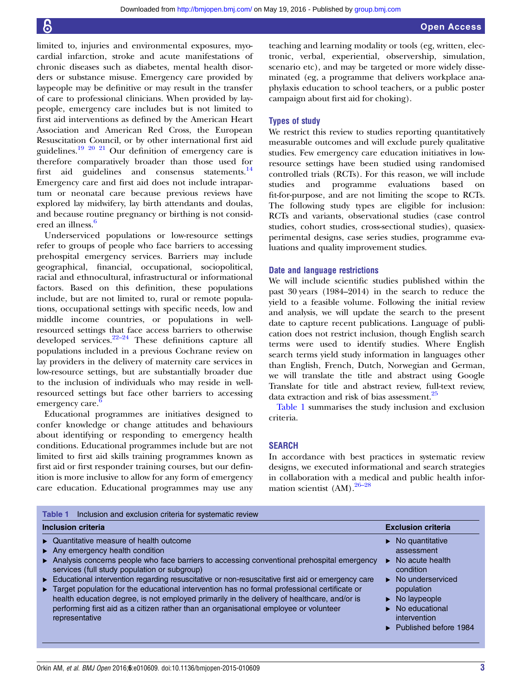<span id="page-2-0"></span>limited to, injuries and environmental exposures, myocardial infarction, stroke and acute manifestations of chronic diseases such as diabetes, mental health disorders or substance misuse. Emergency care provided by laypeople may be definitive or may result in the transfer of care to professional clinicians. When provided by laypeople, emergency care includes but is not limited to first aid interventions as defined by the American Heart Association and American Red Cross, the European Resuscitation Council, or by other international first aid guidelines.[19 20 21](#page-6-0) Our definition of emergency care is therefore comparatively broader than those used for first aid guidelines and consensus statements.<sup>[14](#page-6-0)</sup> Emergency care and first aid does not include intrapartum or neonatal care because previous reviews have explored lay midwifery, lay birth attendants and doulas, and because routine pregnancy or birthing is not consid-ered an illness.<sup>[6](#page-6-0)</sup>

Underserviced populations or low-resource settings refer to groups of people who face barriers to accessing prehospital emergency services. Barriers may include geographical, financial, occupational, sociopolitical, racial and ethnocultural, infrastructural or informational factors. Based on this definition, these populations include, but are not limited to, rural or remote populations, occupational settings with specific needs, low and middle income countries, or populations in wellresourced settings that face access barriers to otherwise developed services. $22-24$  $22-24$  These definitions capture all populations included in a previous Cochrane review on lay providers in the delivery of maternity care services in low-resource settings, but are substantially broader due to the inclusion of individuals who may reside in wellresourced settings but face other barriers to accessing emergency care.

Educational programmes are initiatives designed to confer knowledge or change attitudes and behaviours about identifying or responding to emergency health conditions. Educational programmes include but are not limited to first aid skills training programmes known as first aid or first responder training courses, but our definition is more inclusive to allow for any form of emergency care education. Educational programmes may use any

teaching and learning modality or tools (eg, written, electronic, verbal, experiential, observership, simulation, scenario etc), and may be targeted or more widely disseminated (eg, a programme that delivers workplace anaphylaxis education to school teachers, or a public poster campaign about first aid for choking).

#### Types of study

We restrict this review to studies reporting quantitatively measurable outcomes and will exclude purely qualitative studies. Few emergency care education initiatives in lowresource settings have been studied using randomised controlled trials (RCTs). For this reason, we will include studies and programme evaluations based on fit-for-purpose, and are not limiting the scope to RCTs. The following study types are eligible for inclusion: RCTs and variants, observational studies (case control studies, cohort studies, cross-sectional studies), quasiexperimental designs, case series studies, programme evaluations and quality improvement studies.

#### Date and language restrictions

We will include scientific studies published within the past 30 years (1984–2014) in the search to reduce the yield to a feasible volume. Following the initial review and analysis, we will update the search to the present date to capture recent publications. Language of publication does not restrict inclusion, though English search terms were used to identify studies. Where English search terms yield study information in languages other than English, French, Dutch, Norwegian and German, we will translate the title and abstract using Google Translate for title and abstract review, full-text review, data extraction and risk of bias assessment.<sup>[25](#page-6-0)</sup>

Table 1 summarises the study inclusion and exclusion criteria.

#### SEARCH

In accordance with best practices in systematic review designs, we executed informational and search strategies in collaboration with a medical and public health information scientist (AM).26–[28](#page-6-0)

| Inclusion and exclusion criteria for systematic review<br>Table 1                                                                                                                                                                                                                                                                                                                                                                                                                                                                                                                                                                                          |                                                                                                                                                                                                                                                                                                    |
|------------------------------------------------------------------------------------------------------------------------------------------------------------------------------------------------------------------------------------------------------------------------------------------------------------------------------------------------------------------------------------------------------------------------------------------------------------------------------------------------------------------------------------------------------------------------------------------------------------------------------------------------------------|----------------------------------------------------------------------------------------------------------------------------------------------------------------------------------------------------------------------------------------------------------------------------------------------------|
| <b>Inclusion criteria</b>                                                                                                                                                                                                                                                                                                                                                                                                                                                                                                                                                                                                                                  | <b>Exclusion criteria</b>                                                                                                                                                                                                                                                                          |
| • Quantitative measure of health outcome<br>$\triangleright$ Any emergency health condition<br>Analysis concerns people who face barriers to accessing conventional prehospital emergency<br>services (full study population or subgroup)<br>Educational intervention regarding resuscitative or non-resuscitative first aid or emergency care<br>► Target population for the educational intervention has no formal professional certificate or<br>health education degree, is not employed primarily in the delivery of healthcare, and/or is<br>performing first aid as a citizen rather than an organisational employee or volunteer<br>representative | $\triangleright$ No quantitative<br>assessment<br>No acute health<br>$\blacktriangleright$<br>condition<br>$\blacktriangleright$ No underserviced<br>population<br>$\triangleright$ No laypeople<br>$\triangleright$ No educational<br>intervention<br>$\blacktriangleright$ Published before 1984 |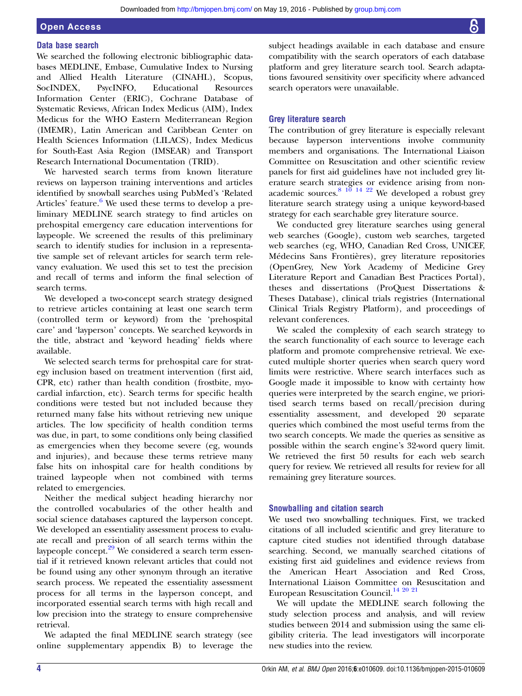## Open Access

#### Data base search

We searched the following electronic bibliographic databases MEDLINE, Embase, Cumulative Index to Nursing and Allied Health Literature (CINAHL), Scopus, SocINDEX, PsycINFO, Educational Resources Information Center (ERIC), Cochrane Database of Systematic Reviews, African Index Medicus (AIM), Index Medicus for the WHO Eastern Mediterranean Region (IMEMR), Latin American and Caribbean Center on Health Sciences Information (LILACS), Index Medicus for South-East Asia Region (IMSEAR) and Transport Research International Documentation (TRID).

We harvested search terms from known literature reviews on layperson training interventions and articles identified by snowball searches using PubMed's 'Related Articles' feature. $6$  We used these terms to develop a preliminary MEDLINE search strategy to find articles on prehospital emergency care education interventions for laypeople. We screened the results of this preliminary search to identify studies for inclusion in a representative sample set of relevant articles for search term relevancy evaluation. We used this set to test the precision and recall of terms and inform the final selection of search terms.

We developed a two-concept search strategy designed to retrieve articles containing at least one search term (controlled term or keyword) from the 'prehospital care' and 'layperson' concepts. We searched keywords in the title, abstract and 'keyword heading' fields where available.

We selected search terms for prehospital care for strategy inclusion based on treatment intervention (first aid, CPR, etc) rather than health condition (frostbite, myocardial infarction, etc). Search terms for specific health conditions were tested but not included because they returned many false hits without retrieving new unique articles. The low specificity of health condition terms was due, in part, to some conditions only being classified as emergencies when they become severe (eg, wounds and injuries), and because these terms retrieve many false hits on inhospital care for health conditions by trained laypeople when not combined with terms related to emergencies.

Neither the medical subject heading hierarchy nor the controlled vocabularies of the other health and social science databases captured the layperson concept. We developed an essentiality assessment process to evaluate recall and precision of all search terms within the laypeople concept. $29$  We considered a search term essential if it retrieved known relevant articles that could not be found using any other synonym through an iterative search process. We repeated the essentiality assessment process for all terms in the layperson concept, and incorporated essential search terms with high recall and low precision into the strategy to ensure comprehensive retrieval.

We adapted the final MEDLINE search strategy (see online supplementary appendix B) to leverage the

subject headings available in each database and ensure compatibility with the search operators of each database platform and grey literature search tool. Search adaptations favoured sensitivity over specificity where advanced search operators were unavailable.

#### Grey literature search

The contribution of grey literature is especially relevant because layperson interventions involve community members and organisations. The International Liaison Committee on Resuscitation and other scientific review panels for first aid guidelines have not included grey literature search strategies or evidence arising from nonacademic sources. $8^{10}$  14  $22$  We developed a robust grey literature search strategy using a unique keyword-based strategy for each searchable grey literature source.

We conducted grey literature searches using general web searches (Google), custom web searches, targeted web searches (eg, WHO, Canadian Red Cross, UNICEF, Médecins Sans Frontières), grey literature repositories (OpenGrey, New York Academy of Medicine Grey Literature Report and Canadian Best Practices Portal), theses and dissertations (ProQuest Dissertations & Theses Database), clinical trials registries (International Clinical Trials Registry Platform), and proceedings of relevant conferences.

We scaled the complexity of each search strategy to the search functionality of each source to leverage each platform and promote comprehensive retrieval. We executed multiple shorter queries when search query word limits were restrictive. Where search interfaces such as Google made it impossible to know with certainty how queries were interpreted by the search engine, we prioritised search terms based on recall/precision during essentiality assessment, and developed 20 separate queries which combined the most useful terms from the two search concepts. We made the queries as sensitive as possible within the search engine's 32-word query limit. We retrieved the first 50 results for each web search query for review. We retrieved all results for review for all remaining grey literature sources.

#### Snowballing and citation search

We used two snowballing techniques. First, we tracked citations of all included scientific and grey literature to capture cited studies not identified through database searching. Second, we manually searched citations of existing first aid guidelines and evidence reviews from the American Heart Association and Red Cross, International Liaison Committee on Resuscitation and European Resuscitation Council.<sup>14 20</sup> <sup>21</sup>

We will update the MEDLINE search following the study selection process and analysis, and will review studies between 2014 and submission using the same eligibility criteria. The lead investigators will incorporate new studies into the review.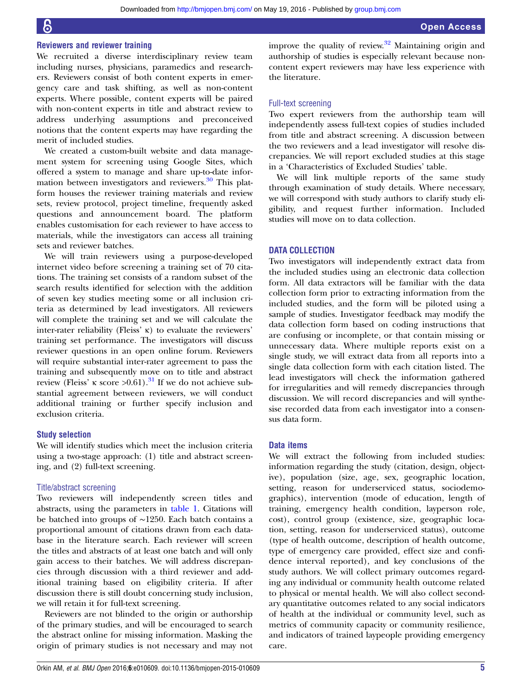#### Reviewers and reviewer training

We recruited a diverse interdisciplinary review team including nurses, physicians, paramedics and researchers. Reviewers consist of both content experts in emergency care and task shifting, as well as non-content experts. Where possible, content experts will be paired with non-content experts in title and abstract review to address underlying assumptions and preconceived notions that the content experts may have regarding the merit of included studies.

We created a custom-built website and data management system for screening using Google Sites, which offered a system to manage and share up-to-date infor-mation between investigators and reviewers.<sup>[30](#page-6-0)</sup> This platform houses the reviewer training materials and review sets, review protocol, project timeline, frequently asked questions and announcement board. The platform enables customisation for each reviewer to have access to materials, while the investigators can access all training sets and reviewer batches.

We will train reviewers using a purpose-developed internet video before screening a training set of 70 citations. The training set consists of a random subset of the search results identified for selection with the addition of seven key studies meeting some or all inclusion criteria as determined by lead investigators. All reviewers will complete the training set and we will calculate the inter-rater reliability (Fleiss' κ) to evaluate the reviewers' training set performance. The investigators will discuss reviewer questions in an open online forum. Reviewers will require substantial inter-rater agreement to pass the training and subsequently move on to title and abstract review (Fleiss' κ score >0.61).<sup>[31](#page-6-0)</sup> If we do not achieve substantial agreement between reviewers, we will conduct additional training or further specify inclusion and exclusion criteria.

#### Study selection

We will identify studies which meet the inclusion criteria using a two-stage approach: (1) title and abstract screening, and (2) full-text screening.

#### Title/abstract screening

Two reviewers will independently screen titles and abstracts, using the parameters in [table 1](#page-2-0). Citations will be batched into groups of ∼1250. Each batch contains a proportional amount of citations drawn from each database in the literature search. Each reviewer will screen the titles and abstracts of at least one batch and will only gain access to their batches. We will address discrepancies through discussion with a third reviewer and additional training based on eligibility criteria. If after discussion there is still doubt concerning study inclusion, we will retain it for full-text screening.

Reviewers are not blinded to the origin or authorship of the primary studies, and will be encouraged to search the abstract online for missing information. Masking the origin of primary studies is not necessary and may not improve the quality of review. $32$  Maintaining origin and authorship of studies is especially relevant because noncontent expert reviewers may have less experience with the literature.

#### Full-text screening

Two expert reviewers from the authorship team will independently assess full-text copies of studies included from title and abstract screening. A discussion between the two reviewers and a lead investigator will resolve discrepancies. We will report excluded studies at this stage in a 'Characteristics of Excluded Studies' table.

We will link multiple reports of the same study through examination of study details. Where necessary, we will correspond with study authors to clarify study eligibility, and request further information. Included studies will move on to data collection.

#### DATA COLLECTION

Two investigators will independently extract data from the included studies using an electronic data collection form. All data extractors will be familiar with the data collection form prior to extracting information from the included studies, and the form will be piloted using a sample of studies. Investigator feedback may modify the data collection form based on coding instructions that are confusing or incomplete, or that contain missing or unnecessary data. Where multiple reports exist on a single study, we will extract data from all reports into a single data collection form with each citation listed. The lead investigators will check the information gathered for irregularities and will remedy discrepancies through discussion. We will record discrepancies and will synthesise recorded data from each investigator into a consensus data form.

#### Data items

We will extract the following from included studies: information regarding the study (citation, design, objective), population (size, age, sex, geographic location, setting, reason for underserviced status, sociodemographics), intervention (mode of education, length of training, emergency health condition, layperson role, cost), control group (existence, size, geographic location, setting, reason for underserviced status), outcome (type of health outcome, description of health outcome, type of emergency care provided, effect size and confidence interval reported), and key conclusions of the study authors. We will collect primary outcomes regarding any individual or community health outcome related to physical or mental health. We will also collect secondary quantitative outcomes related to any social indicators of health at the individual or community level, such as metrics of community capacity or community resilience, and indicators of trained laypeople providing emergency care.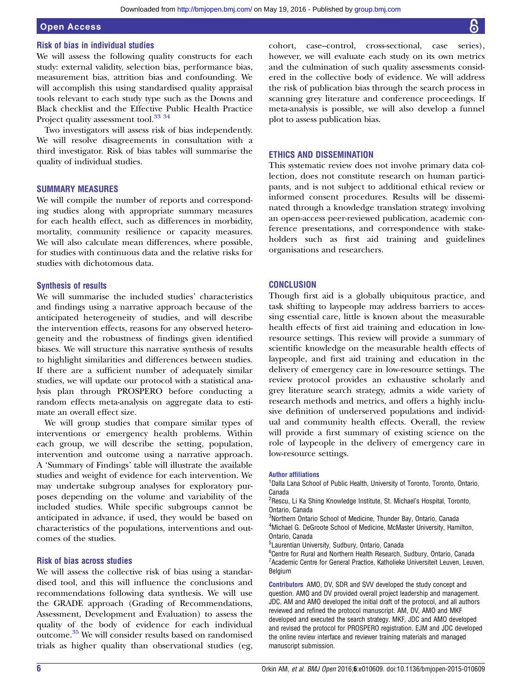#### Open Access

#### Risk of bias in individual studies

We will assess the following quality constructs for each study: external validity, selection bias, performance bias, measurement bias, attrition bias and confounding. We will accomplish this using standardised quality appraisal tools relevant to each study type such as the Downs and Black checklist and the Effective Public Health Practice Project quality assessment tool.<sup>33</sup><sup>34</sup>

Two investigators will assess risk of bias independently. We will resolve disagreements in consultation with a third investigator. Risk of bias tables will summarise the quality of individual studies.

#### SUMMARY MEASURES

We will compile the number of reports and corresponding studies along with appropriate summary measures for each health effect, such as differences in morbidity, mortality, community resilience or capacity measures. We will also calculate mean differences, where possible, for studies with continuous data and the relative risks for studies with dichotomous data.

#### Synthesis of results

We will summarise the included studies' characteristics and findings using a narrative approach because of the anticipated heterogeneity of studies, and will describe the intervention effects, reasons for any observed heterogeneity and the robustness of findings given identified biases. We will structure this narrative synthesis of results to highlight similarities and differences between studies. If there are a sufficient number of adequately similar studies, we will update our protocol with a statistical analysis plan through PROSPERO before conducting a random effects meta-analysis on aggregate data to estimate an overall effect size.

We will group studies that compare similar types of interventions or emergency health problems. Within each group, we will describe the setting, population, intervention and outcome using a narrative approach. A 'Summary of Findings' table will illustrate the available studies and weight of evidence for each intervention. We may undertake subgroup analyses for exploratory purposes depending on the volume and variability of the included studies. While specific subgroups cannot be anticipated in advance, if used, they would be based on characteristics of the populations, interventions and outcomes of the studies.

#### Risk of bias across studies

We will assess the collective risk of bias using a standardised tool, and this will influence the conclusions and recommendations following data synthesis. We will use the GRADE approach (Grading of Recommendations, Assessment, Development and Evaluation) to assess the quality of the body of evidence for each individual outcome.[35](#page-6-0) We will consider results based on randomised trials as higher quality than observational studies (eg,

cohort, case–control, cross-sectional, case series), however, we will evaluate each study on its own metrics and the culmination of such quality assessments considered in the collective body of evidence. We will address the risk of publication bias through the search process in scanning grey literature and conference proceedings. If meta-analysis is possible, we will also develop a funnel plot to assess publication bias.

#### ETHICS AND DISSEMINATION

This systematic review does not involve primary data collection, does not constitute research on human participants, and is not subject to additional ethical review or informed consent procedures. Results will be disseminated through a knowledge translation strategy involving an open-access peer-reviewed publication, academic conference presentations, and correspondence with stakeholders such as first aid training and guidelines organisations and researchers.

#### **CONCLUSION**

Though first aid is a globally ubiquitous practice, and task shifting to laypeople may address barriers to accessing essential care, little is known about the measurable health effects of first aid training and education in lowresource settings. This review will provide a summary of scientific knowledge on the measurable health effects of laypeople, and first aid training and education in the delivery of emergency care in low-resource settings. The review protocol provides an exhaustive scholarly and grey literature search strategy, admits a wide variety of research methods and metrics, and offers a highly inclusive definition of underserved populations and individual and community health effects. Overall, the review will provide a first summary of existing science on the role of laypeople in the delivery of emergency care in low-resource settings.

#### Author affiliations

<sup>1</sup>Dalla Lana School of Public Health, University of Toronto, Toronto, Ontario, Canada

<sup>2</sup>Rescu, Li Ka Shing Knowledge Institute, St. Michael's Hospital, Toronto, Ontario, Canada

<sup>3</sup>Northern Ontario School of Medicine, Thunder Bay, Ontario, Canada <sup>4</sup>Michael G. DeGroote School of Medicine, McMaster University, Hamilton, Ontario, Canada

5 Laurentian University, Sudbury, Ontario, Canada

<sup>6</sup>Centre for Rural and Northern Health Research, Sudbury, Ontario, Canada <sup>7</sup> Academic Centre for General Practice, Katholieke Universiteit Leuven, Leuven, Belgium

Contributors AMO, DV, SDR and SVV developed the study concept and question. AMO and DV provided overall project leadership and management. JDC, AM and AMO developed the initial draft of the protocol, and all authors reviewed and refined the protocol manuscript. AM, DV, AMO and MKF developed and executed the search strategy. MKF, JDC and AMO developed and revised the protocol for PROSPERO registration. EJM and JDC developed the online review interface and reviewer training materials and managed manuscript submission.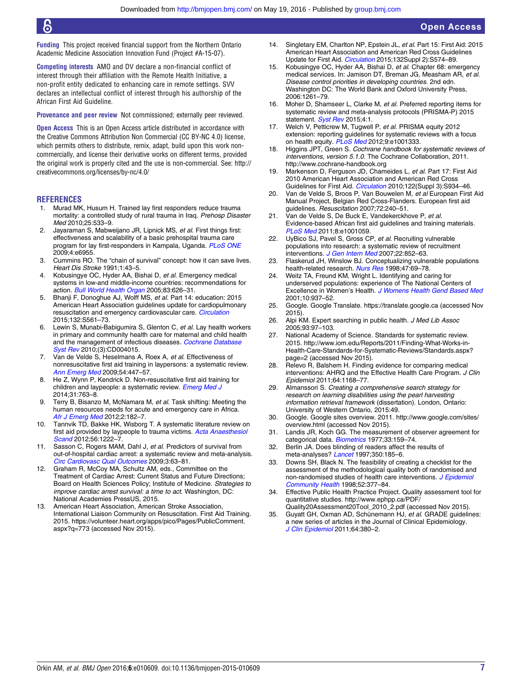<span id="page-6-0"></span>Funding This project received financial support from the Northern Ontario Academic Medicine Association Innovation Fund (Project #A-15-07).

Competing interests AMO and DV declare a non-financial conflict of interest through their affiliation with the Remote Health Initiative, a non-profit entity dedicated to enhancing care in remote settings. SVV declares an intellectual conflict of interest through his authorship of the African First Aid Guideline.

Provenance and peer review Not commissioned; externally peer reviewed.

Open Access This is an Open Access article distributed in accordance with the Creative Commons Attribution Non Commercial (CC BY-NC 4.0) license, which permits others to distribute, remix, adapt, build upon this work noncommercially, and license their derivative works on different terms, provided the original work is properly cited and the use is non-commercial. See: [http://](http://creativecommons.org/licenses/by-nc/4.0/) [creativecommons.org/licenses/by-nc/4.0/](http://creativecommons.org/licenses/by-nc/4.0/)

#### **REFERENCES**

- 1. Murad MK, Husum H. Trained lay first responders reduce trauma mortality: a controlled study of rural trauma in Iraq. Prehosp Disaster Med 2010;25:533–9.
- 2. Jayaraman S, Mabweijano JR, Lipnick MS, et al. First things first: effectiveness and scalability of a basic prehospital trauma care program for lay first-responders in Kampala, Uganda. [PLoS ONE](http://dx.doi.org/10.1371/journal.pone.0006955) 2009;4:e6955.
- 3. Cummins RO. The "chain of survival" concept: how it can save lives. Heart Dis Stroke 1991;1:43–5.
- 4. Kobusingye OC, Hyder AA, Bishai D, et al. Emergency medical systems in low-and middle-income countries: recommendations for action. [Bull World Health Organ](http://dx.doi.org//S0042-96862005000800017) 2005;83:626–31.
- 5. Bhanji F, Donoghue AJ, Wolff MS, et al. Part 14: education: 2015 American Heart Association guidelines update for cardiopulmonary resuscitation and emergency cardiovascular care. [Circulation](http://dx.doi.org/10.1161/CIR.0000000000000268) 2015;132:S561–73.
- 6. Lewin S, Munabi-Babigumira S, Glenton C, et al. Lay health workers in primary and community health care for maternal and child health and the management of infectious diseases. [Cochrane Database](http://dx.doi.org/10.1002/14651858.CD004015) [Syst Rev](http://dx.doi.org/10.1002/14651858.CD004015) 2010;(3):CD004015.
- 7. Van de Velde S, Heselmans A, Roex A, et al. Effectiveness of nonresuscitative first aid training in laypersons: a systematic review. [Ann Emerg Med](http://dx.doi.org/10.1016/j.annemergmed.2008.11.005) 2009;54:447–57.
- 8. He Z, Wynn P, Kendrick D. Non-resuscitative first aid training for children and laypeople: a systematic review. [Emerg Med J](http://dx.doi.org/10.1136/emermed-2013-202389) 2014;31:763–8.
- 9. Terry B, Bisanzo M, McNamara M, et al. Task shifting: Meeting the human resources needs for acute and emergency care in Africa. [Afr J Emerg Med](http://dx.doi.org/10.1016/j.afjem.2012.06.005) 2012;2:182-7.
- 10. Tannvik TD, Bakke HK, Wisborg T. A systematic literature review on first aid provided by laypeople to trauma victims. [Acta Anaesthesiol](http://dx.doi.org/10.1111/j.1399-6576.2012.02739.x) [Scand](http://dx.doi.org/10.1111/j.1399-6576.2012.02739.x) 2012;56:1222–7.
- 11. Sasson C, Rogers MAM, Dahl J, et al. Predictors of survival from out-of-hospital cardiac arrest: a systematic review and meta-analysis. [Circ Cardiovasc Qual Outcomes](http://dx.doi.org/10.1161/CIRCOUTCOMES.109.889576) 2009;3:63–81.
- 12. Graham R, McCoy MA, Schultz AM, eds., Committee on the Treatment of Cardiac Arrest: Current Status and Future Directions; Board on Health Sciences Policy; Institute of Medicine. Strategies to improve cardiac arrest survival: a time to act. Washington, DC: National Academies PressUS, 2015.
- 13. American Heart Association, American Stroke Association, International Liaison Community on Resuscitation. First Aid Training. 2015. [https://volunteer.heart.org/apps/pico/Pages/PublicComment.](https://volunteer.heart.org/apps/pico/Pages/PublicComment.aspx?q=773) [aspx?q=773](https://volunteer.heart.org/apps/pico/Pages/PublicComment.aspx?q=773) (accessed Nov 2015).
- 14. Singletary EM, Charlton NP, Epstein JL, et al. Part 15: First Aid: 2015 American Heart Association and American Red Cross Guidelines Update for First Aid. [Circulation](http://dx.doi.org/10.1161/CIR.0000000000000269) 2015;132Suppl 2):S574–89.
- 15. Kobusingye OC, Hyder AA, Bishai D, et al. Chapter 68: emergency medical services. In: Jamison DT, Breman JG, Measham AR, et al. Disease control priorities in developing countries. 2nd edn. Washington DC: The World Bank and Oxford University Press, 2006:1261–79.
- 16. Moher D, Shamseer L, Clarke M, et al. Preferred reporting items for systematic review and meta-analysis protocols (PRISMA-P) 2015 statement. [Syst Rev](http://dx.doi.org/10.1186/2046-4053-4-1) 2015;4:1.
- 17. Welch V, Petticrew M, Tugwell P, et al. PRISMA equity 2012 extension: reporting guidelines for systematic reviews with a focus on health equity. [PLoS Med](http://dx.doi.org/10.1371/journal.pmed.1001333) 2012;9:e1001333.
- 18. Higgins JPT, Green S. Cochrane handbook for systematic reviews of interventions, version 5.1.0. The Cochrane Collaboration, 2011. <http://www.cochrane-handbook.org>
- 19. Markenson D, Ferguson JD, Chameides L, et al. Part 17: First Aid 2010 American Heart Association and American Red Cross Guidelines for First Aid. [Circulation](http://dx.doi.org/10.1161/CIRCULATIONAHA.110.971150) 2010;122(Suppl 3):S934-46.
- 20. Van de Velde S, Broos P, Van Bouwelen M, et al European First Aid Manual Project, Belgian Red Cross-Flanders. European first aid guidelines. Resuscitation 2007;72:240–51.
- 21. Van de Velde S, De Buck E, Vandekerckhove P, et al. Evidence-based African first aid guidelines and training materials. [PLoS Med](http://dx.doi.org/10.1371/journal.pmed.1001059) 2011;8:e1001059.
- 22. UyBico SJ, Pavel S, Gross CP, et al. Recruiting vulnerable populations into research: a systematic review of recruitment interventions. [J Gen Intern Med](http://dx.doi.org/10.1007/s11606-007-0126-3) 2007;22:852–63.
- 23. Flaskerud JH, Winslow BJ. Conceptualizing vulnerable populations health-related research. [Nurs Res](http://dx.doi.org/10.1097/00006199-199803000-00005) 1998;47:69-78.
- 24. Weitz TA, Freund KM, Wright L. Identifying and caring for underserved populations: experience of The National Centers of Excellence in Women's Health. [J Womens Health Gend Based Med](http://dx.doi.org/10.1089/152460901317193521) 2001;10:937–52.
- 25. Google. Google Translate.<https://translate.google.ca> (accessed Nov 2015).
- 26. Alpi KM. Expert searching in public health. J Med Lib Assoc 2005;93:97–103.
- 27. National Academy of Science. Standards for systematic review. 2015. [http://www.iom.edu/Reports/2011/Finding-What-Works-in-](http://www.iom.edu/Reports/2011/Finding-What-Works-in-Health-Care-Standards-for-Systematic-Reviews/Standards.aspx?page=2)[Health-Care-Standards-for-Systematic-Reviews/Standards.aspx?](http://www.iom.edu/Reports/2011/Finding-What-Works-in-Health-Care-Standards-for-Systematic-Reviews/Standards.aspx?page=2) [page=2](http://www.iom.edu/Reports/2011/Finding-What-Works-in-Health-Care-Standards-for-Systematic-Reviews/Standards.aspx?page=2) (accessed Nov 2015).
- 28. Relevo R, Balshem H. Finding evidence for comparing medical interventions: AHRQ and the Effective Health Care Program. J Clin Epidemiol 2011;64:1168–77.
- 29. Almanssori S. Creating a comprehensive search strategy for research on learning disabilities using the pearl harvesting information retrieval framework (dissertation). London, Ontario: University of Western Ontario, 2015:49.
- 30. Google. Google sites overview. 2011. [http://www.google.com/sites/](http://www.google.com/sites/overview.html) [overview.html](http://www.google.com/sites/overview.html) (accessed Nov 2015).
- 31. Landis JR, Koch GG. The measurement of observer agreement for categorical data. [Biometrics](http://dx.doi.org/10.2307/2529310) 1977;33:159-74
- 32. Berlin JA. Does blinding of readers affect the results of meta-analyses? [Lancet](http://dx.doi.org/10.1016/S0140-6736(05)62352-5) 1997;350:185-6.
- 33. Downs SH, Black N. The feasibility of creating a checklist for the assessment of the methodological quality both of randomised and non-randomised studies of health care interventions. [J Epidemiol](http://dx.doi.org/10.1136/jech.52.6.377) [Community Health](http://dx.doi.org/10.1136/jech.52.6.377) 1998;52:377–84.
- 34. Effective Public Health Practice Project. Quality assessment tool for quantitative studies. [http://www.ephpp.ca/PDF/](http://www.ephpp.ca/PDF/Quality20Assessment20Tool_2010_2.pdf) [Quality20Assessment20Tool\\_2010\\_2.pdf](http://www.ephpp.ca/PDF/Quality20Assessment20Tool_2010_2.pdf) (accessed Nov 2015).
- 35. Guyatt GH, Oxman AD, Schünemann HJ, et al. GRADE guidelines: a new series of articles in the Journal of Clinical Epidemiology. [J Clin Epidemiol](http://dx.doi.org/10.1016/j.jclinepi.2010.09.011) 2011;64:380–2.